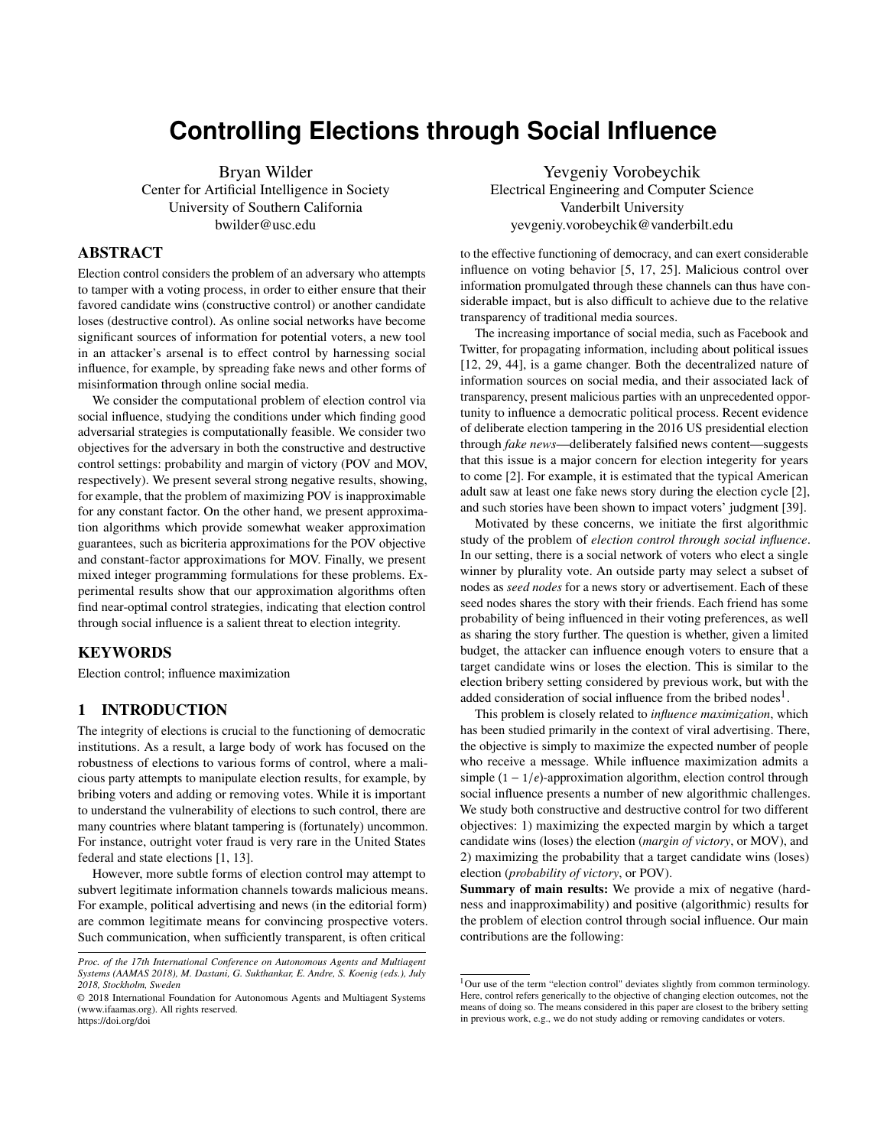# **Controlling Elections through Social Influence**

Bryan Wilder

Center for Artificial Intelligence in Society University of Southern California bwilder@usc.edu

# ABSTRACT

Election control considers the problem of an adversary who attempts to tamper with a voting process, in order to either ensure that their favored candidate wins (constructive control) or another candidate loses (destructive control). As online social networks have become significant sources of information for potential voters, a new tool in an attacker's arsenal is to effect control by harnessing social influence, for example, by spreading fake news and other forms of misinformation through online social media.

We consider the computational problem of election control via social influence, studying the conditions under which finding good adversarial strategies is computationally feasible. We consider two objectives for the adversary in both the constructive and destructive control settings: probability and margin of victory (POV and MOV, respectively). We present several strong negative results, showing, for example, that the problem of maximizing POV is inapproximable for any constant factor. On the other hand, we present approximation algorithms which provide somewhat weaker approximation guarantees, such as bicriteria approximations for the POV objective and constant-factor approximations for MOV. Finally, we present mixed integer programming formulations for these problems. Experimental results show that our approximation algorithms often find near-optimal control strategies, indicating that election control through social influence is a salient threat to election integrity.

# **KEYWORDS**

Election control; influence maximization

#### 1 INTRODUCTION

The integrity of elections is crucial to the functioning of democratic institutions. As a result, a large body of work has focused on the robustness of elections to various forms of control, where a malicious party attempts to manipulate election results, for example, by bribing voters and adding or removing votes. While it is important to understand the vulnerability of elections to such control, there are many countries where blatant tampering is (fortunately) uncommon. For instance, outright voter fraud is very rare in the United States federal and state elections [\[1,](#page-8-0) [13\]](#page-8-1).

However, more subtle forms of election control may attempt to subvert legitimate information channels towards malicious means. For example, political advertising and news (in the editorial form) are common legitimate means for convincing prospective voters. Such communication, when sufficiently transparent, is often critical

Yevgeniy Vorobeychik Electrical Engineering and Computer Science Vanderbilt University yevgeniy.vorobeychik@vanderbilt.edu

to the effective functioning of democracy, and can exert considerable influence on voting behavior [\[5,](#page-8-2) [17,](#page-8-3) [25\]](#page-8-4). Malicious control over information promulgated through these channels can thus have considerable impact, but is also difficult to achieve due to the relative transparency of traditional media sources.

The increasing importance of social media, such as Facebook and Twitter, for propagating information, including about political issues [\[12,](#page-8-5) [29,](#page-8-6) [44\]](#page-8-7), is a game changer. Both the decentralized nature of information sources on social media, and their associated lack of transparency, present malicious parties with an unprecedented opportunity to influence a democratic political process. Recent evidence of deliberate election tampering in the 2016 US presidential election through *fake news*—deliberately falsified news content—suggests that this issue is a major concern for election integerity for years to come [\[2\]](#page-8-8). For example, it is estimated that the typical American adult saw at least one fake news story during the election cycle [\[2\]](#page-8-8), and such stories have been shown to impact voters' judgment [\[39\]](#page-8-9).

Motivated by these concerns, we initiate the first algorithmic study of the problem of *election control through social influence*. In our setting, there is a social network of voters who elect a single winner by plurality vote. An outside party may select a subset of nodes as *seed nodes* for a news story or advertisement. Each of these seed nodes shares the story with their friends. Each friend has some probability of being influenced in their voting preferences, as well as sharing the story further. The question is whether, given a limited budget, the attacker can influence enough voters to ensure that a target candidate wins or loses the election. This is similar to the election bribery setting considered by previous work, but with the added consideration of social influence from the bribed nodes<sup>[1](#page-0-0)</sup>.

This problem is closely related to *influence maximization*, which has been studied primarily in the context of viral advertising. There, the objective is simply to maximize the expected number of people who receive a message. While influence maximization admits a simple  $(1 - 1/e)$ -approximation algorithm, election control through social influence presents a number of new algorithmic challenges. We study both constructive and destructive control for two different objectives: 1) maximizing the expected margin by which a target candidate wins (loses) the election (*margin of victory*, or MOV), and 2) maximizing the probability that a target candidate wins (loses) election (*probability of victory*, or POV).

Summary of main results: We provide a mix of negative (hardness and inapproximability) and positive (algorithmic) results for the problem of election control through social influence. Our main contributions are the following:

*Proc. of the 17th International Conference on Autonomous Agents and Multiagent Systems (AAMAS 2018), M. Dastani, G. Sukthankar, E. Andre, S. Koenig (eds.), July 2018, Stockholm, Sweden*

<sup>©</sup> 2018 International Foundation for Autonomous Agents and Multiagent Systems (www.ifaamas.org). All rights reserved. <https://doi.org/doi>

<span id="page-0-0"></span><sup>&</sup>lt;sup>1</sup>Our use of the term "election control" deviates slightly from common terminology. Here, control refers generically to the objective of changing election outcomes, not the means of doing so. The means considered in this paper are closest to the bribery setting in previous work, e.g., we do not study adding or removing candidates or voters.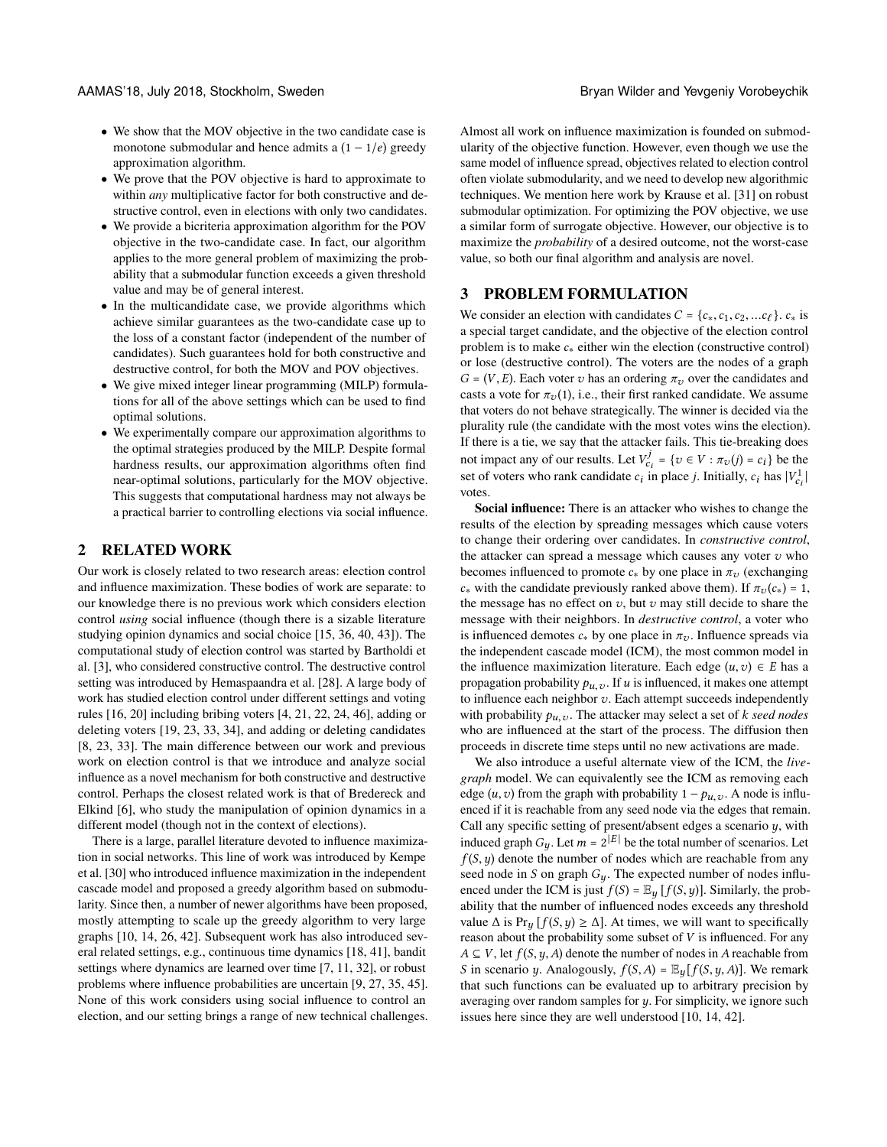- We show that the MOV objective in the two candidate case is monotone submodular and hence admits a  $(1 - 1/e)$  greedy approximation algorithm.
- We prove that the POV objective is hard to approximate to within *any* multiplicative factor for both constructive and destructive control, even in elections with only two candidates.
- We provide a bicriteria approximation algorithm for the POV objective in the two-candidate case. In fact, our algorithm applies to the more general problem of maximizing the probability that a submodular function exceeds a given threshold value and may be of general interest.
- In the multicandidate case, we provide algorithms which achieve similar guarantees as the two-candidate case up to the loss of a constant factor (independent of the number of candidates). Such guarantees hold for both constructive and destructive control, for both the MOV and POV objectives.
- We give mixed integer linear programming (MILP) formulations for all of the above settings which can be used to find optimal solutions.
- We experimentally compare our approximation algorithms to the optimal strategies produced by the MILP. Despite formal hardness results, our approximation algorithms often find near-optimal solutions, particularly for the MOV objective. This suggests that computational hardness may not always be a practical barrier to controlling elections via social influence.

# 2 RELATED WORK

Our work is closely related to two research areas: election control and influence maximization. These bodies of work are separate: to our knowledge there is no previous work which considers election control *using* social influence (though there is a sizable literature studying opinion dynamics and social choice [\[15,](#page-8-10) [36,](#page-8-11) [40,](#page-8-12) [43\]](#page-8-13)). The computational study of election control was started by Bartholdi et al. [\[3\]](#page-8-14), who considered constructive control. The destructive control setting was introduced by Hemaspaandra et al. [\[28\]](#page-8-15). A large body of work has studied election control under different settings and voting rules [\[16,](#page-8-16) [20\]](#page-8-17) including bribing voters [\[4,](#page-8-18) [21,](#page-8-19) [22,](#page-8-20) [24,](#page-8-21) [46\]](#page-8-22), adding or deleting voters [\[19,](#page-8-23) [23,](#page-8-24) [33,](#page-8-25) [34\]](#page-8-26), and adding or deleting candidates [\[8,](#page-8-27) [23,](#page-8-24) [33\]](#page-8-25). The main difference between our work and previous work on election control is that we introduce and analyze social influence as a novel mechanism for both constructive and destructive control. Perhaps the closest related work is that of Bredereck and Elkind [\[6\]](#page-8-28), who study the manipulation of opinion dynamics in a different model (though not in the context of elections).

There is a large, parallel literature devoted to influence maximization in social networks. This line of work was introduced by Kempe et al. [\[30\]](#page-8-29) who introduced influence maximization in the independent cascade model and proposed a greedy algorithm based on submodularity. Since then, a number of newer algorithms have been proposed, mostly attempting to scale up the greedy algorithm to very large graphs [\[10,](#page-8-30) [14,](#page-8-31) [26,](#page-8-32) [42\]](#page-8-33). Subsequent work has also introduced several related settings, e.g., continuous time dynamics [\[18,](#page-8-34) [41\]](#page-8-35), bandit settings where dynamics are learned over time [\[7,](#page-8-36) [11,](#page-8-37) [32\]](#page-8-38), or robust problems where influence probabilities are uncertain [\[9,](#page-8-39) [27,](#page-8-40) [35,](#page-8-41) [45\]](#page-8-42). None of this work considers using social influence to control an election, and our setting brings a range of new technical challenges. Almost all work on influence maximization is founded on submodularity of the objective function. However, even though we use the same model of influence spread, objectives related to election control often violate submodularity, and we need to develop new algorithmic techniques. We mention here work by Krause et al. [\[31\]](#page-8-43) on robust submodular optimization. For optimizing the POV objective, we use a similar form of surrogate objective. However, our objective is to maximize the *probability* of a desired outcome, not the worst-case value, so both our final algorithm and analysis are novel.

# 3 PROBLEM FORMULATION

We consider an election with candidates  $C = \{c_*, c_1, c_2, ... c_\ell\}$ .  $c_*$  is a special target candidate, and the objective of the election control problem is to make  $c_*$  either win the election (constructive control) or lose (destructive control). The voters are the nodes of a graph  $G = (V, E)$ . Each voter v has an ordering  $\pi<sub>v</sub>$  over the candidates and casts a vote for  $\pi_v(1)$ , i.e., their first ranked candidate. We assume that voters do not behave strategically. The winner is decided via the plurality rule (the candidate with the most votes wins the election). If there is a tie, we say that the attacker fails. This tie-breaking does not impact any of our results. Let  $V_{ci}^j = \{v \in V : \pi_v(j) = c_i\}$  be the set of voters who real condidate  $c_i$  in place is Initially  $c_i$  has  $|V_i|$ . set of voters who rank candidate  $c_i$  in place *j*. Initially,  $c_i$  has  $|V_{c_i}^1|$ | votes.

Social influence: There is an attacker who wishes to change the results of the election by spreading messages which cause voters to change their ordering over candidates. In *constructive control*, the attacker can spread a message which causes any voter  $v$  who becomes influenced to promote  $c_*$  by one place in  $\pi_v$  (exchanging  $c_*$  with the candidate previously ranked above them). If  $\pi_v(c_*) = 1$ , the message has no effect on  $v$ , but  $v$  may still decide to share the message with their neighbors. In *destructive control*, a voter who is influenced demotes  $c_*$  by one place in  $\pi_v$ . Influence spreads via the independent cascade model (ICM), the most common model in the influence maximization literature. Each edge  $(u, v) \in E$  has a propagation probability  $p_{u,v}$ . If u is influenced, it makes one attempt to influence each neighbor  $v$ . Each attempt succeeds independently with probability  $p_{u,v}$ . The attacker may select a set of  $k$  *seed nodes* who are influenced at the start of the process. The diffusion then proceeds in discrete time steps until no new activations are made.

We also introduce a useful alternate view of the ICM, the *livegraph* model. We can equivalently see the ICM as removing each edge  $(u, v)$  from the graph with probability  $1 - p_{u, v}$ . A node is influenced if it is reachable from any seed node via the edges that remain. Call any specific setting of present/absent edges a scenario  $y$ , with induced graph  $G_y$ . Let  $m = 2^{|E|}$  be the total number of scenarios. Let  $f(S, y)$  denote the number of nodes which are reachable from any seed node in S on graph  $G_y$ . The expected number of nodes influenced under the ICM is just  $f(S) = \mathbb{E}_y[f(S, y)]$ . Similarly, the probability that the number of influenced nodes exceeds any threshold value  $\Delta$  is Pr<sub>y</sub> [ $f(S, y) \ge \Delta$ ]. At times, we will want to specifically reason about the probability some subset of V is influenced. For any  $A \subseteq V$ , let  $f(S, y, A)$  denote the number of nodes in A reachable from S in scenario y. Analogously,  $f(S, A) = \mathbb{E}_{y}[f(S, y, A)]$ . We remark that such functions can be evaluated up to arbitrary precision by averaging over random samples for  $\psi$ . For simplicity, we ignore such issues here since they are well understood [\[10,](#page-8-30) [14,](#page-8-31) [42\]](#page-8-33).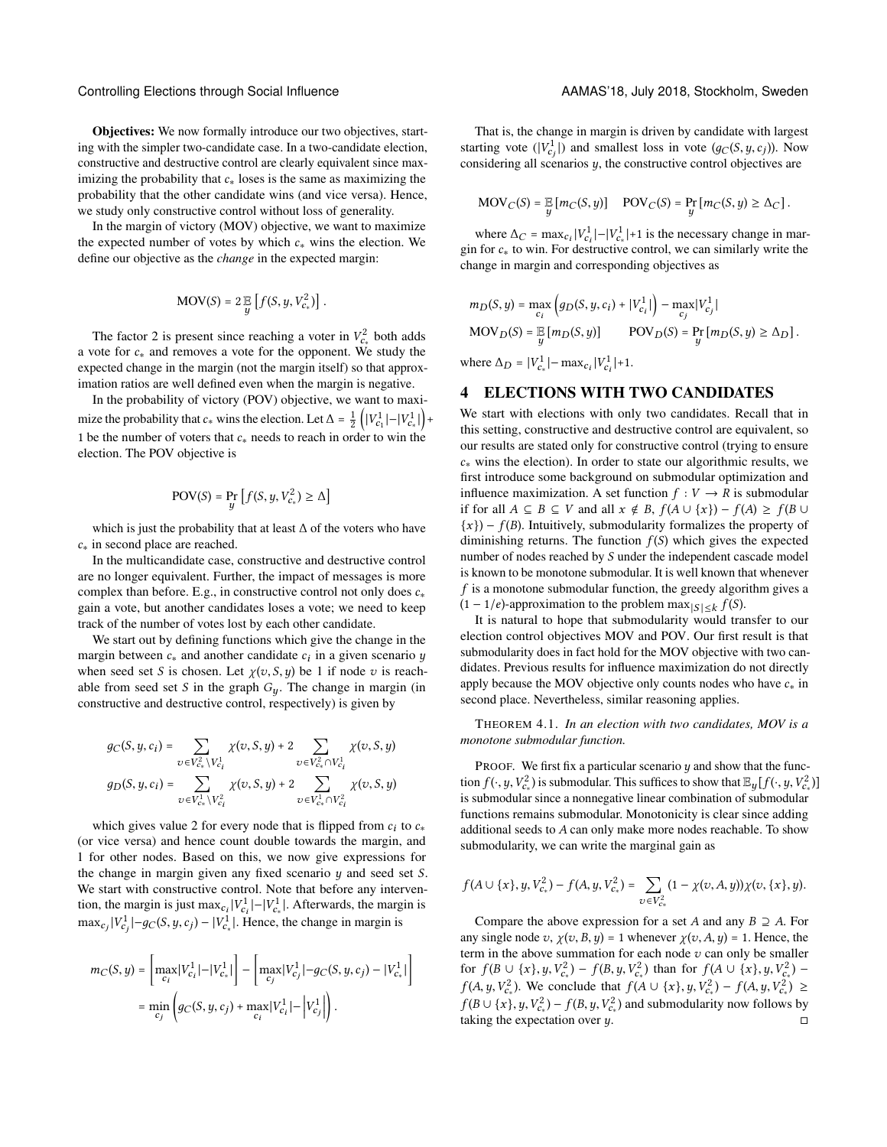Objectives: We now formally introduce our two objectives, starting with the simpler two-candidate case. In a two-candidate election, constructive and destructive control are clearly equivalent since maximizing the probability that  $c_*$  loses is the same as maximizing the probability that the other candidate wins (and vice versa). Hence, we study only constructive control without loss of generality.

In the margin of victory (MOV) objective, we want to maximize the expected number of votes by which  $c_*$  wins the election. We define our objective as the *change* in the expected margin:

$$
\text{MOV}(S) = 2 \mathbb{E}\left[f(S, y, V_{c_*}^2)\right].
$$

The factor 2 is present since reaching a voter in  $V_c^2$  both adds<br>so the cand remove a vote for the opponent  $W_c$  study the a vote for <sup>c</sup><sup>∗</sup> and removes a vote for the opponent. We study the expected change in the margin (not the margin itself) so that approximation ratios are well defined even when the margin is negative.

In the probability of victory (POV) objective, we want to maximize the probability that  $c_*$  wins the election. Let  $\Delta = \frac{1}{2} \left( |V_{c_1}^1| - |V_{c_*}^1| \right) +$ | 1 be the number of voters that  $c_*$  needs to reach in order to win the election. The POV objective is

$$
\text{POV}(S) = \Pr_{y} \left[ f(S, y, V_{c_*}^2) \ge \Delta \right]
$$

which is just the probability that at least ∆ of the voters who have <sup>c</sup><sup>∗</sup> in second place are reached.

In the multicandidate case, constructive and destructive control are no longer equivalent. Further, the impact of messages is more complex than before. E.g., in constructive control not only does  $c_*$ gain a vote, but another candidates loses a vote; we need to keep track of the number of votes lost by each other candidate.

We start out by defining functions which give the change in the margin between  $c_*$  and another candidate  $c_i$  in a given scenario y<br>when seed set S is chosen I et  $v(x, S, y)$  be 1 if node z is reach when seed set S is chosen. Let  $\chi(v, S, y)$  be 1 if node v is reachable from seed set S in the graph  $G_y$ . The change in margin (in constructive and destructive control, respectively) is given by

$$
g_C(S, y, c_i) = \sum_{v \in V_{c_*}^2 \backslash V_{c_i}^1} \chi(v, S, y) + 2 \sum_{v \in V_{c_*}^2 \cap V_{c_i}^1} \chi(v, S, y)
$$
  

$$
g_D(S, y, c_i) = \sum_{v \in V_{c_*}^1 \backslash V_{c_i}^2} \chi(v, S, y) + 2 \sum_{v \in V_{c_*}^1 \cap V_{c_i}^2} \chi(v, S, y)
$$

which gives value 2 for every node that is flipped from  $c_i$  to  $c_*$ <br>typics versa) and bence count double towards the margin and (or vice versa) and hence count double towards the margin, and 1 for other nodes. Based on this, we now give expressions for the change in margin given any fixed scenario y and seed set S. We start with constructive control. Note that before any intervention, the margin is just max $c_i |V_{c_i}^1| - |V_{c_s}^1|$ . Afterwards, the margin is  $\max_{c_j} |V_{c_j}^1| - g_C(S, y, c_j) - |V_{c_*}^1|$ . Hence, the change in margin is

$$
m_C(S, y) = \left[ \max_{c_i} |V_{c_i}^1| - |V_{c_*}^1| \right] - \left[ \max_{c_j} |V_{c_j}^1| - g_C(S, y, c_j) - |V_{c_*}^1| \right]
$$
  
= 
$$
\min_{c_j} \left( g_C(S, y, c_j) + \max_{c_i} |V_{c_i}^1| - |V_{c_j}^1| \right).
$$

That is, the change in margin is driven by candidate with largest starting vote  $(|V_c^1|)$  and smallest loss in vote  $(g_C(S, y, c_j))$ . Now considering all scenarios y, the constructive control objectives are

$$
MOV_C(S) = \mathop{\mathbb{E}}\limits_y [m_C(S, y)] \quad \text{POV}_C(S) = \Pr_y [m_C(S, y) \geq \Delta_C].
$$

where  $\Delta_C = \max_{C_i} |V_{C_i}^1| - |V_{C_*}^1| + 1$  is the necessary change in marwhere  $\Delta C = \max_{c_i} |v_{c_i}| - |v_{c_*}| + 1$  is the necessary change in margin for  $c_*$  to win. For destructive control, we can similarly write the change in margin and corresponding objectives as change in margin and corresponding objectives as

$$
m_D(S, y) = \max_{c_i} (g_D(S, y, c_i) + |V_{c_i}^1|) - \max_{c_j} |V_{c_j}^1|
$$
  
\n
$$
MOV_D(S) = \mathbb{E} [m_D(S, y)] \qquad POV_D(S) = \Pr_y [m_D(S, y) \ge \Delta_D].
$$
  
\nwhere  $\Delta = -|V_1^1|$  may  $|V_1^1| + 1$ 

where  $\Delta_D = |V_{c_*}^1| - \max_{c_i} |V_{c_i}^1| + 1$ .

### 4 ELECTIONS WITH TWO CANDIDATES

We start with elections with only two candidates. Recall that in this setting, constructive and destructive control are equivalent, so our results are stated only for constructive control (trying to ensure <sup>c</sup><sup>∗</sup> wins the election). In order to state our algorithmic results, we first introduce some background on submodular optimization and influence maximization. A set function  $f: V \to R$  is submodular if for all  $A \subseteq B \subseteq V$  and all  $x \notin B$ ,  $f(A \cup \{x\}) - f(A) \ge f(B \cup$  ${x}$ ) –  $f(B)$ . Intuitively, submodularity formalizes the property of diminishing returns. The function  $f(S)$  which gives the expected number of nodes reached by S under the independent cascade model is known to be monotone submodular. It is well known that whenever f is a monotone submodular function, the greedy algorithm gives a  $(1 - 1/e)$ -approximation to the problem  $\max_{|S| \leq k} f(S)$ .<br>It is natural to bone that submodularity would train

It is natural to hope that submodularity would transfer to our election control objectives MOV and POV. Our first result is that submodularity does in fact hold for the MOV objective with two candidates. Previous results for influence maximization do not directly apply because the MOV objective only counts nodes who have  $c_*$  in second place. Nevertheless, similar reasoning applies.

<span id="page-2-0"></span>THEOREM 4.1. *In an election with two candidates, MOV is a monotone submodular function.*

PROOF. We first fix a particular scenario  $y$  and show that the function  $f(\cdot, y, V_{c*}^2)$  is submodular. This suffices to show that  $\mathbb{E}_y[f(\cdot, y, V_{c*}^2)]$ <br>is submodular since a nonnegative linear combination of submodular is submodular since a nonnegative linear combination of submodular functions remains submodular. Monotonicity is clear since adding additional seeds to A can only make more nodes reachable. To show submodularity, we can write the marginal gain as

$$
f(A \cup \{x\}, y, V_{c_*}^2) - f(A, y, V_{c_*}^2) = \sum_{v \in V_{c_*}^2} (1 - \chi(v, A, y)) \chi(v, \{x\}, y).
$$

Compare the above expression for a set A and any  $B \supseteq A$ . For any single node v,  $\chi(v, B, y) = 1$  whenever  $\chi(v, A, y) = 1$ . Hence, the term in the above summation for each node  $v$  can only be smaller for  $f(B \cup \{x\}, y, V_{c*}^2) - f(B, y, V_{c*}^2)$  than for  $f(A \cup \{x\}, y, V_{c*}^2) - f(A, y, V_{c*}^2)$  $f(A, y, V_{cs}^2)$ . We conclude that  $f(A \cup \{x\}, y, V_{cs}^2) - f(A, y, V_{cs}^2) \ge$ <br> $f(B \cup \{x\}, V_{cs}^2) - f(B, y, V_{cs}^2)$  and submodularity now follows by  $f(B \cup \{x\}, y, V_{c_*}^2) - f(B, y, V_{c_*}^2)$  and submodularity now follows by<br>taking the expectation over  $u$ taking the expectation over  $y$ .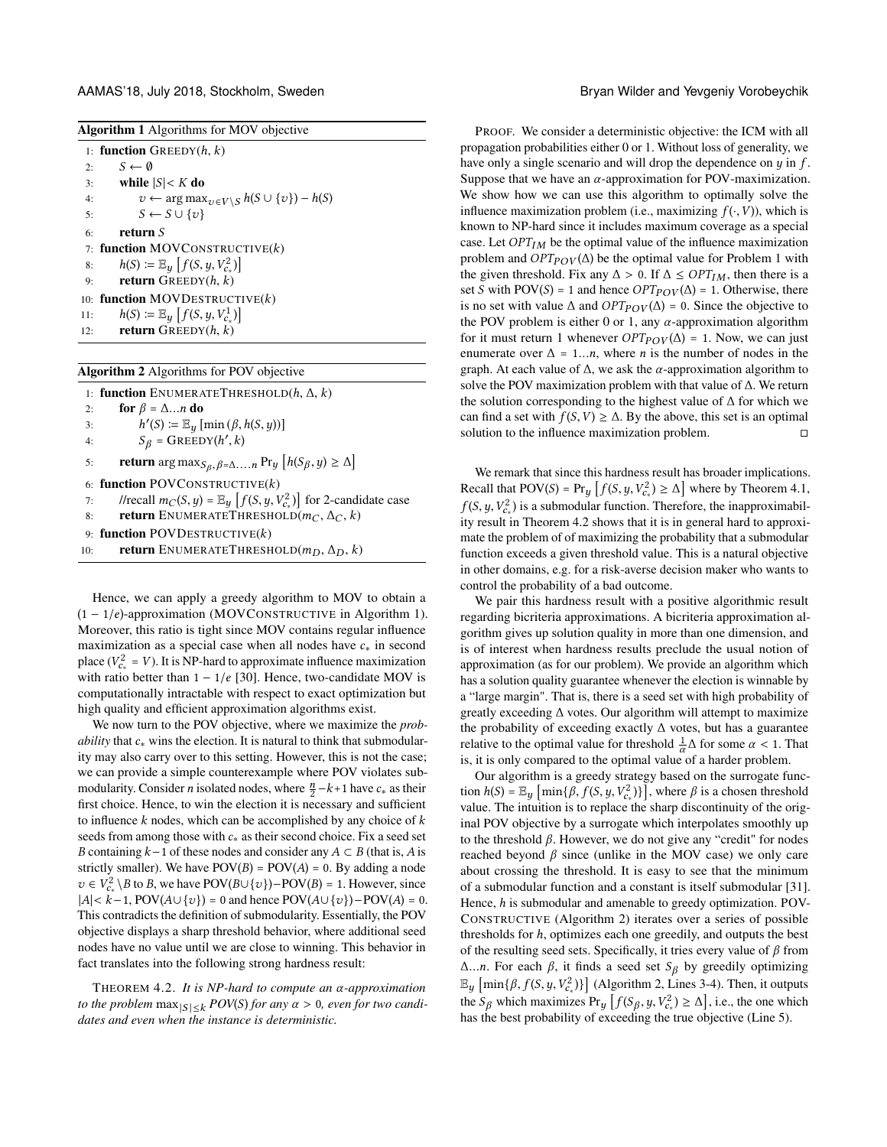AAMAS'18, July 2018, Stockholm, Sweden Bryan Wilder and Yevgeniy Vorobeychik

<span id="page-3-0"></span>

|  | <b>Algorithm 1</b> Algorithms for MOV objective |  |  |
|--|-------------------------------------------------|--|--|
|  |                                                 |  |  |

|     | 1: <b>function</b> GREEDY $(h, k)$                                    |
|-----|-----------------------------------------------------------------------|
| 2:  | $S \leftarrow \emptyset$                                              |
| 3:  | while $ S $ < K do                                                    |
| 4:  | $v \leftarrow \arg \max_{v \in V \setminus S} h(S \cup \{v\}) - h(S)$ |
| 5:  | $S \leftarrow S \cup \{v\}$                                           |
| 6.  | return S                                                              |
|     | 7: function MOVCONSTRUCTIVE $(k)$                                     |
| 8:  | $h(S) \coloneqq \mathbb{E}_y[f(S, y, V_{c}^2)]$                       |
| 9:  | <b>return</b> GREEDY $(h, k)$                                         |
|     | 10: function MOVDESTRUCTIVE $(k)$                                     |
| 11: | $h(S) \coloneqq \mathbb{E}_y[f(S, y, V_{c_*}^1)]$                     |
| 12: | <b>return</b> GREEDY $(h, k)$                                         |
|     |                                                                       |

#### <span id="page-3-2"></span>Algorithm 2 Algorithms for POV objective

|     | 1: <b>function</b> ENUMERATETHRESHOLD $(h, \Delta, k)$                                                 |
|-----|--------------------------------------------------------------------------------------------------------|
| 2:  | for $\beta = \Delta \dots n$ do                                                                        |
| 3:  | $h'(S) \coloneqq \mathbb{E}_{\mathcal{U}}[\min(\beta, h(S, y))]$                                       |
| 4:  | $S_{\beta}$ = GREEDY(h', k)                                                                            |
| 5:  | <b>return</b> arg max $_{S_{\beta}, \beta = \Delta  n}$ Pr <sub>y</sub> $[h(S_{\beta}, y) \ge \Delta]$ |
|     | 6: function POVCONSTRUCTIVE $(k)$                                                                      |
| 7:  | //recall $m_C(S, y) = \mathbb{E}_y[f(S, y, V_{c_*}^2)]$ for 2-candidate case                           |
| 8:  | <b>return</b> ENUMERATETHRESHOLD $(m_C, \Delta_C, k)$                                                  |
|     | 9: function POVDESTRUCTIVE $(k)$                                                                       |
| 10: | <b>return</b> ENUMERATETHRESHOLD $(m_D, \Delta_D, k)$                                                  |
|     |                                                                                                        |

Hence, we can apply a greedy algorithm to MOV to obtain a  $(1 - 1/e)$ -approximation (MOVCONSTRUCTIVE in Algorithm [1\)](#page-3-0). Moreover, this ratio is tight since MOV contains regular influence maximization as a special case when all nodes have  $c_*$  in second place  $(V_c^2 = V)$ . It is NP-hard to approximate influence maximization<br>with ratio better than  $1 - 1/e$  [30]. Hence, two candidate MOV is with ratio better than  $1 - 1/e$  [\[30\]](#page-8-29). Hence, two-candidate MOV is computationally intractable with respect to exact optimization but high quality and efficient approximation algorithms exist.

We now turn to the POV objective, where we maximize the *probability* that  $c_*$  wins the election. It is natural to think that submodularity may also carry over to this setting. However, this is not the case; we can provide a simple counterexample where POV violates submodularity. Consider *n* isolated nodes, where  $\frac{n}{2} - k + 1$  have  $c_*$  as their first choice. Hence to win the election it is necessary and sufficient first choice. Hence, to win the election it is necessary and sufficient to influence  $k$  nodes, which can be accomplished by any choice of  $k$ seeds from among those with  $c_*$  as their second choice. Fix a seed set B containing  $k-1$  of these nodes and consider any  $A \subset B$  (that is, A is strictly smaller). We have  $POV(B) = POV(A) = 0$ . By adding a node  $v \in V_{c_{*}}^{2} \setminus B$  to B, we have POV( $B \cup \{v\}$ )–POV( $B$ ) = 1. However, since  $A \cup c_{*} = 1$  POV( $A \cup I_{2}$ )) – 0 and hence POV( $A \cup I_{2}$ )) – POV( $A \cap I_{2}$ )) – POV( $A \cap I_{2}$ )  $|A| < k-1$ , POV $(A \cup \{v\}) = 0$  and hence POV $(A \cup \{v\})$ –POV $(A) = 0$ . This contradicts the definition of submodularity. Essentially, the POV objective displays a sharp threshold behavior, where additional seed nodes have no value until we are close to winning. This behavior in fact translates into the following strong hardness result:

<span id="page-3-1"></span><sup>T</sup>HEOREM 4.2. *It is NP-hard to compute an* α*-approximation to the problem*  $\max_{|S| \leq k} POV(S)$  *for any*  $\alpha > 0$ *, even for two candidates and even when the instance is deterministic.*

PROOF. We consider a deterministic objective: the ICM with all propagation probabilities either 0 or 1. Without loss of generality, we have only a single scenario and will drop the dependence on  $y$  in  $f$ . Suppose that we have an  $\alpha$ -approximation for POV-maximization. We show how we can use this algorithm to optimally solve the influence maximization problem (i.e., maximizing  $f(\cdot, V)$ ), which is known to NP-hard since it includes maximum coverage as a special case. Let  $OPT_{IM}$  be the optimal value of the influence maximization problem and  $OPT_{POV}(\Delta)$  be the optimal value for Problem 1 with the given threshold. Fix any  $\Delta > 0$ . If  $\Delta \leq OPT_{IM}$ , then there is a set S with POV(S) = 1 and hence  $OPT_{POV}(\Delta)$  = 1. Otherwise, there is no set with value  $\Delta$  and  $OPT_{POV}(\Delta) = 0$ . Since the objective to the POV problem is either 0 or 1, any  $\alpha$ -approximation algorithm for it must return 1 whenever  $OPT_{POV}(\Delta) = 1$ . Now, we can just enumerate over  $\Delta = 1...n$ , where *n* is the number of nodes in the graph. At each value of  $\Delta$ , we ask the  $\alpha$ -approximation algorithm to solve the POV maximization problem with that value of ∆. We return the solution corresponding to the highest value of ∆ for which we can find a set with  $f(S, V) \ge \Delta$ . By the above, this set is an optimal solution to the influence maximization problem. solution to the influence maximization problem.

We remark that since this hardness result has broader implications. Recall that POV(S) = Pr<sub>y</sub>  $[f(S, y, V_{cs}^2) \ge \Delta]$  where by Theorem [4.1,](#page-2-0)  $f(S, y, V_{cs}^2)$  is a submodular function. Therefore, the inapproximabil-<br>ity result in Theorem 4.2 shows that it is in general hard to approxiity result in Theorem [4.2](#page-3-1) shows that it is in general hard to approximate the problem of of maximizing the probability that a submodular function exceeds a given threshold value. This is a natural objective in other domains, e.g. for a risk-averse decision maker who wants to control the probability of a bad outcome.

We pair this hardness result with a positive algorithmic result regarding bicriteria approximations. A bicriteria approximation algorithm gives up solution quality in more than one dimension, and is of interest when hardness results preclude the usual notion of approximation (as for our problem). We provide an algorithm which has a solution quality guarantee whenever the election is winnable by a "large margin". That is, there is a seed set with high probability of greatly exceeding ∆ votes. Our algorithm will attempt to maximize the probability of exceeding exactly ∆ votes, but has a guarantee relative to the optimal value for threshold  $\frac{1}{\alpha}\Delta$  for some  $\alpha < 1$ . That is only compared to the optimal value of a harder problem is, it is only compared to the optimal value of a harder problem.

Our algorithm is a greedy strategy based on the surrogate function  $h(S) = \mathbb{E}_y \left[ \min\{\beta, f(S, y, V_{\epsilon}^2)\}\right]$ , where  $\beta$  is a chosen threshold value. The intuition is to replace the sharp discontinuity of the original POV objective by a surrogate which interpolates smoothly up to the threshold  $β$ . However, we do not give any "credit" for nodes reached beyond  $\beta$  since (unlike in the MOV case) we only care about crossing the threshold. It is easy to see that the minimum of a submodular function and a constant is itself submodular [\[31\]](#page-8-43). Hence,  $h$  is submodular and amenable to greedy optimization. POV-CONSTRUCTIVE (Algorithm [2\)](#page-3-2) iterates over a series of possible thresholds for h, optimizes each one greedily, and outputs the best of the resulting seed sets. Specifically, it tries every value of  $\beta$  from  $Δ...n$ . For each  $β$ , it finds a seed set  $S<sub>β</sub>$  by greedily optimizing  $\mathbb{E}_y$   $[\min{\{\beta, f(S, y, V_{\epsilon}^2)\}}]$  (Algorithm [2,](#page-3-2) Lines 3-4). Then, it outputs the S<sub>k</sub> which movimizes  $\Pr\left\{f(S, y, V_{\epsilon}^2) > \Delta\}\right\}$  i.e., the one which the  $S_\beta$  which maximizes  $Pr_y[f(S_\beta, y, V_{\alpha}^2) \ge \Delta]$ , i.e., the one which<br>has the best probability of exceeding the true objective (Line 5) has the best probability of exceeding the true objective (Line 5).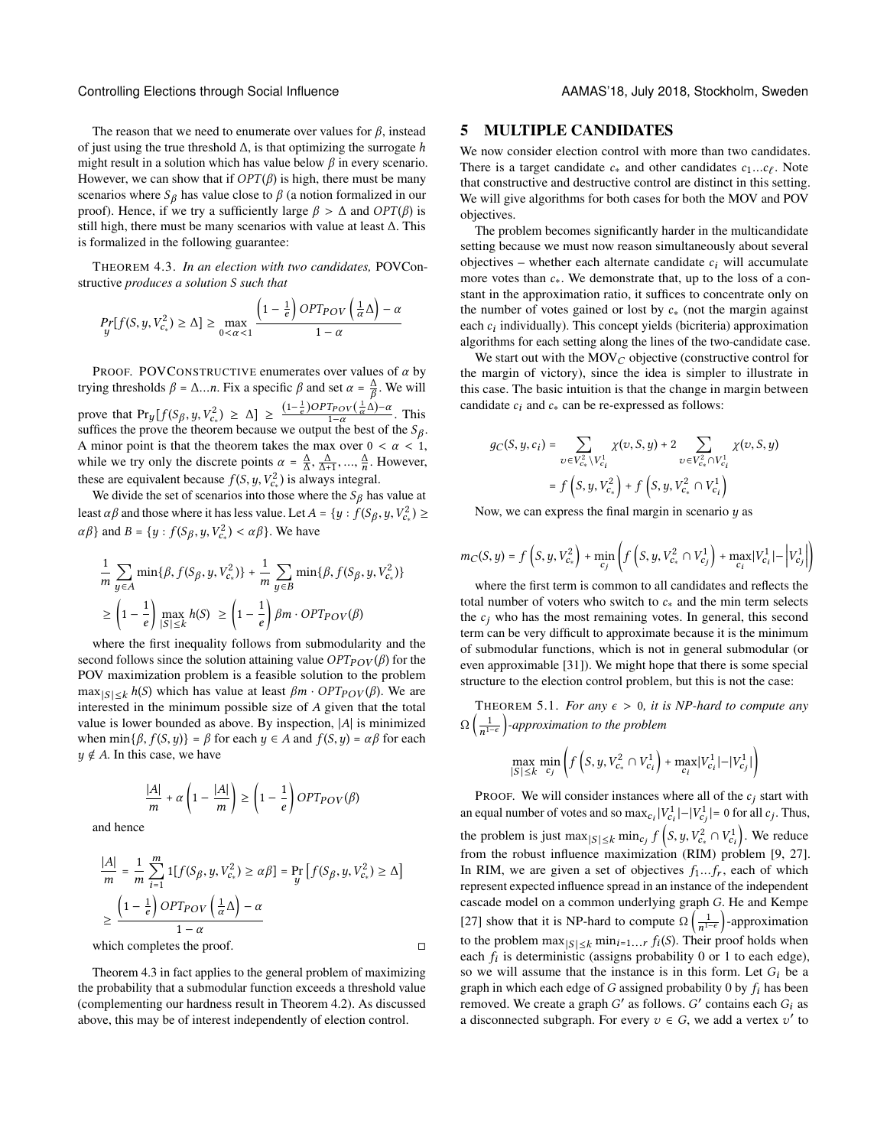The reason that we need to enumerate over values for  $\beta$ , instead of just using the true threshold  $\Delta$ , is that optimizing the surrogate h might result in a solution which has value below  $\beta$  in every scenario. However, we can show that if  $OPT(\beta)$  is high, there must be many scenarios where  $S_\beta$  has value close to  $\beta$  (a notion formalized in our proof). Hence, if we try a sufficiently large  $\beta > \Delta$  and  $OPT(\beta)$  is still high, there must be many scenarios with value at least ∆. This is formalized in the following guarantee:

<span id="page-4-0"></span>THEOREM 4.3. *In an election with two candidates,* POVConstructive *produces a solution* S *such that*

$$
\Pr_{y}[f(S, y, V_{c_*}^2) \ge \Delta] \ge \max_{0 < \alpha < 1} \frac{\left(1 - \frac{1}{e}\right) OPT_{POV}\left(\frac{1}{\alpha}\Delta\right) - \alpha}{1 - \alpha}
$$

PROOF. POVCONSTRUCTIVE enumerates over values of  $\alpha$  by trying thresholds  $\beta = \Delta ... n$ . Fix a specific  $\beta$  and set  $\alpha = \frac{\Delta}{\beta}$ . We will prove that  $Pr_y[f(S_\beta, y, V_{\text{surface})]$  $\binom{r^2}{c^2} \geq \Delta \} \geq \frac{(1-\frac{1}{e})^2}{\Delta}$  $\frac{1}{e}$ )OPT<sub>POV</sub>( $\frac{1}{\alpha}$ )  $\frac{1}{\alpha}\Delta$ )-α  $\frac{\mu_{POV(\alpha^{\Delta})}}{1-\alpha}$ . This suffices the prove the theorem because we output the best of the  $S_\beta$ . A minor point is that the theorem takes the max over  $0 < \alpha < 1$ , while we try only the discrete points  $\alpha = \frac{\Delta}{\Delta}, \frac{\Delta}{\Delta+1}, ..., \frac{\Delta}{n}$ . However, while we try only the discrete points  $\alpha = \frac{1}{\Delta}, \frac{1}{\Delta+1}, ..., \frac{1}{n}$ .<br>these are equivalent because  $f(S, y, V_{c_*}^2)$  is always integral.<br>We divide the set of scenarios into those where the S<sub>o</sub> has

We divide the set of scenarios into those where the  $S_\beta$  has value at least  $\alpha\beta$  and those where it has less value. Let  $A = \{y : f(S_\beta, y, V_\alpha)\}$  $_{c_*}^{2}$ )  $\geq$  $\alpha\beta$ } and  $B = \{y : f(S_\beta, y, V_\beta)\}$  $\langle c_*^2 \rangle < \alpha \beta$ . We have

$$
\frac{1}{m} \sum_{y \in A} \min\{\beta, f(S_{\beta}, y, V_{c_*}^2)\} + \frac{1}{m} \sum_{y \in B} \min\{\beta, f(S_{\beta}, y, V_{c_*}^2)\}\
$$

$$
\geq \left(1 - \frac{1}{e}\right) \max_{|S| \leq k} h(S) \geq \left(1 - \frac{1}{e}\right) \beta m \cdot OPT_{POV}(\beta)
$$

where the first inequality follows from submodularity and the second follows since the solution attaining value  $OPT_{POV}(\beta)$  for the POV maximization problem is a feasible solution to the problem  $\max_{|S| \le k} h(S)$  which has value at least  $\beta m \cdot OPT_{POV}(\beta)$ . We are interested in the minimum possible size of A given that the total value is lower bounded as above. By inspection, <sup>|</sup>A<sup>|</sup> is minimized when min{ $\beta$ ,  $f(S, y)$ } =  $\beta$  for each  $y \in A$  and  $f(S, y) = \alpha \beta$  for each  $y \notin A$ . In this case, we have

$$
\frac{|A|}{m} + \alpha \left( 1 - \frac{|A|}{m} \right) \ge \left( 1 - \frac{1}{e} \right) OPT_{POV}(\beta)
$$

and hence

$$
\frac{|A|}{m} = \frac{1}{m} \sum_{i=1}^{m} 1[f(S_{\beta}, y, V_{c_*}^2) \ge \alpha \beta] = \Pr_y[f(S_{\beta}, y, V_{c_*}^2) \ge \Delta]
$$
  

$$
\ge \frac{\left(1 - \frac{1}{e}\right) OPT_{POV}\left(\frac{1}{\alpha}\Delta\right) - \alpha}{1 - \alpha}
$$
  
which completes the proof.

Theorem [4.3](#page-4-0) in fact applies to the general problem of maximizing the probability that a submodular function exceeds a threshold value (complementing our hardness result in Theorem [4.2\)](#page-3-1). As discussed above, this may be of interest independently of election control.

#### 5 MULTIPLE CANDIDATES

We now consider election control with more than two candidates. There is a target candidate  $c_*$  and other candidates  $c_1...c_\ell$ . Note that constructive and destructive control are distinct in this setting that constructive and destructive control are distinct in this setting. We will give algorithms for both cases for both the MOV and POV objectives.

The problem becomes significantly harder in the multicandidate setting because we must now reason simultaneously about several objectives – whether each alternate candidate  $c_i$  will accumulate more votes than  $c_*$ . We demonstrate that, up to the loss of a constant in the approximation ratio, it suffices to concentrate only on the number of votes gained or lost by  $c_*$  (not the margin against each  $c_i$  individually). This concept yields (bicriteria) approximation<br>algorithms for each setting along the lines of the two-candidate case algorithms for each setting along the lines of the two-candidate case.

We start out with the  $MOV_C$  objective (constructive control for the margin of victory), since the idea is simpler to illustrate in this case. The basic intuition is that the change in margin between candidate  $c_i$  and  $c_*$  can be re-expressed as follows:

$$
g_C(S, y, c_i) = \sum_{v \in V_{c_*}^2 \backslash V_{c_i}^1} \chi(v, S, y) + 2 \sum_{v \in V_{c_*}^2 \cap V_{c_i}^1} \chi(v, S, y)
$$
  
=  $f(S, y, V_{c_*}^2) + f(S, y, V_{c_*}^2 \cap V_{c_i}^1)$ 

Now, we can express the final margin in scenario  $y$  as

$$
m_C(S, y) = f\left(S, y, V_{c_*}^2\right) + \min_{c_j} \left(f\left(S, y, V_{c_*}^2 \cap V_{c_j}^1\right) + \max_{c_i} |V_{c_i}^1| - \left|V_{c_j}^1\right|\right)
$$

where the first term is common to all candidates and reflects the total number of voters who switch to  $c_*$  and the min term selects the  $c_i$  who has the most remaining votes. In general, this second term can be very difficult to approximate because it is the minimum of submodular functions, which is not in general submodular (or even approximable [\[31\]](#page-8-43)). We might hope that there is some special structure to the election control problem, but this is not the case:

THEOREM 5.1. *For any*  $\epsilon > 0$ , *it is NP-hard to compute any*  $\Omega\left(\frac{1}{n^{1-\epsilon}}\right)$ -approximation to the problem

$$
\max_{|S| \le k} \min_{c_j} \left( f\left(S, y, V_{c_*}^2 \cap V_{c_i}^1\right) + \max_{c_i} |V_{c_i}^1| - |V_{c_j}^1| \right)
$$

PROOF. We will consider instances where all of the  $c_i$  start with an equal number of votes and so  $\max_{c_i} |V_{c_i}^1| - |V_{c_j}^1| = 0$  for all  $c_j$ . Thus, the problem is just  $\max_{|S| \le k} \min_{c_j} f(s, y, V_{c_i}^2 \cap V_{c_j}^1)$ . We reduce from the robust influence maximization (RIM) problem [\[9,](#page-8-39) [27\]](#page-8-40). In RIM, we are given a set of objectives  $f_1...f_r$ , each of which represent expected influence spread in an instance of the independent cascade model on a common underlying graph G. He and Kempe [\[27\]](#page-8-40) show that it is NP-hard to compute  $\Omega\left(\frac{1}{n^{1-\epsilon}}\right)$ -approximation to the problem  $\max_{|S| \le k} \min_{i=1...r} f_i(S)$ . Their proof holds when<br>each f, is deterministic (assigns probability 0 or 1 to each edge) each  $f_i$  is deterministic (assigns probability 0 or 1 to each edge),<br>so we will assume that the instance is in this form. Let G: be a so we will assume that the instance is in this form. Let  $G_i$  be a graph in which each edge of G assigned probability 0 by  $f_i$  has been removed. We create a graph G' as follows. G' contains each  $G_i$  as a disconnected subgraph. For every  $v_i \in G$ , we add a vertex  $v_i'$  to a disconnected subgraph. For every  $v \in G$ , we add a vertex  $v'$  to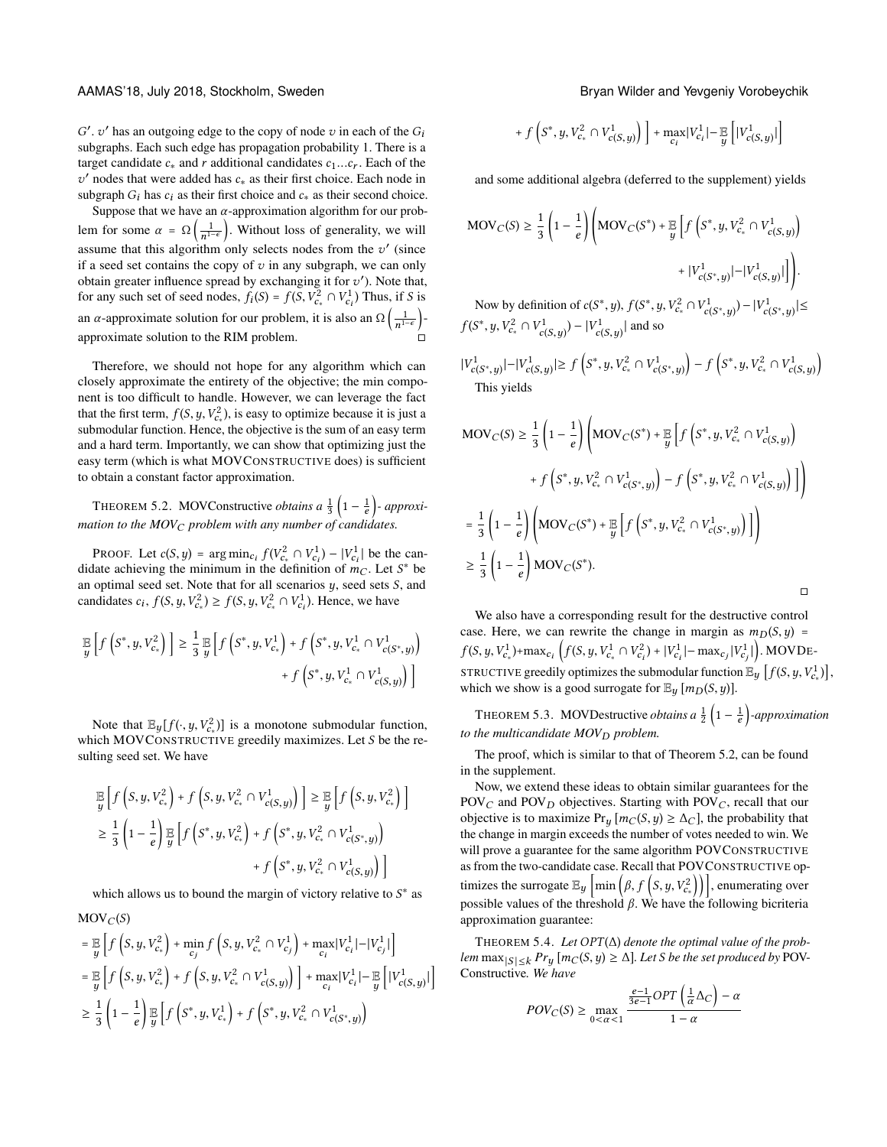subgraphs. Each such edge has propagation probability 1. There is a  $\prime$ , v' has an outgoing edge to the copy of node v in each of the  $G_i$ <br>whereashed Each such edge has propagation probability 1. There is a target candidate  $c_*$  and r additional candidates  $c_1...c_r$ . Each of the subgraph  $G_i$  has  $c_i$  as their first choice and  $c_*$  as their second choice.<br>Suppose that we have an  $\alpha$  approximation algorithm for our prob $v'$  nodes that were added has  $c_*$  as their first choice. Each node in

Suppose that we have an  $\alpha$ -approximation algorithm for our problem for some  $\alpha = \Omega\left(\frac{1}{n^{1-\epsilon}}\right)$ . Without loss of generality, we will assume that this algorithm only selects nodes from the  $v'$  (since<br>if a seed set contains the copy of  $v$  in any subgraph we can only if a seed set contains the copy of  $v$  in any subgraph, we can only obtain greater influence spread by exchanging it for  $v'$ ). Note that,<br>for any such set of seed nodes  $f(S) = f(S \, V^2 \cap V^1)$ . Thus if S is for any such set of seed nodes,  $f_i(S) = f(S, V_{c_i}^2 \cap V_{c_i}^1)$  Thus, if S is an  $\alpha$ -approximate solution for our problem, it is also an  $\Omega\left(\frac{1}{n^{1-\epsilon}}\right)$ approximate solution to the RIM problem.

Therefore, we should not hope for any algorithm which can closely approximate the entirety of the objective; the min component is too difficult to handle. However, we can leverage the fact that the first term,  $f(S, y, V_{c*}^2)$ , is easy to optimize because it is just a submodular function. Hence the objective is the sum of an easy term submodular function. Hence, the objective is the sum of an easy term and a hard term. Importantly, we can show that optimizing just the easy term (which is what MOVCONSTRUCTIVE does) is sufficient to obtain a constant factor approximation.

<span id="page-5-0"></span>THEOREM 5.2. MOVConstructive *obtains a*  $\frac{1}{3}$  $\left(1 - \frac{1}{e}\right)$ - *approximation to the MOV<sub>C</sub> problem with any number of candidates.* 

PROOF. Let  $c(S, y) = \arg \min_{c_i} f(V_{c_i}^2 \cap V_{c_i}^1) - |V_{c_i}^1|$  be the can-<br>late achieving the minimum in the definition of  $m_S$ . Let  $S^*$  be didate achieving the minimum in the definition of  $m_C$ . Let  $S^*$  be<br>an optimal seed set. Note that for all scenarios used sets S, and an optimal seed set. Note that for all scenarios  $y$ , seed sets  $S$ , and candidates  $c_i$ ,  $f(S, y, V_{c_*}^2) \ge f(S, y, V_{c_*}^2 \cap V_{c_i}^1)$ . Hence, we have

$$
\mathbb{E}_{y}\left[f\left(S^{*}, y, V_{c_{*}}^{2}\right)\right] \geq \frac{1}{3} \mathbb{E}_{y}\left[f\left(S^{*}, y, V_{c_{*}}^{1}\right) + f\left(S^{*}, y, V_{c_{*}}^{1} \cap V_{c\left(S^{*}, y\right)}^{1}\right) + f\left(S^{*}, y, V_{c_{*}}^{1} \cap V_{c\left(S, y\right)}^{1}\right)\right]
$$

Note that  $\mathbb{E}_y[f(\cdot, y, V_{\epsilon_*}^2)]$  is a monotone submodular function,<br>ich MOVCONSTRUCTIVE greedily maximizes. Let S be the rewhich MOVCONSTRUCTIVE greedily maximizes. Let S be the resulting seed set. We have

$$
\mathbb{E}\left[f\left(S, y, V_{c_*}^2\right) + f\left(S, y, V_{c_*}^2 \cap V_{c(S, y)}^1\right)\right] \geq \mathbb{E}\left[f\left(S, y, V_{c_*}^2\right)\right] \\
\geq \frac{1}{3}\left(1 - \frac{1}{e}\right) \mathbb{E}\left[f\left(S^*, y, V_{c_*}^2\right) + f\left(S^*, y, V_{c_*}^2 \cap V_{c(S^*, y)}^1\right) + f\left(S^*, y, V_{c_*}^2 \cap V_{c(S, y)}^1\right)\right] \\
+ f\left(S^*, y, V_{c_*}^2 \cap V_{c(S, y)}^1\right)\right]
$$

which allows us to bound the margin of victory relative to  $S^*$  as  $\text{MOV}_C(S)$ 

$$
= \mathbb{E}_{y} \left[ f \left( S, y, V_{c_{*}}^{2} \right) + \min_{c_{j}} f \left( S, y, V_{c_{*}}^{2} \cap V_{c_{j}}^{1} \right) + \max_{c_{i}} |V_{c_{i}}^{1}| - |V_{c_{j}}^{1}| \right]
$$
  
\n
$$
= \mathbb{E}_{y} \left[ f \left( S, y, V_{c_{*}}^{2} \right) + f \left( S, y, V_{c_{*}}^{2} \cap V_{c(S, y)}^{1} \right) \right] + \max_{c_{i}} |V_{c_{i}}^{1}| - \mathbb{E}_{y} \left[ |V_{c(S, y)}^{1}| \right]
$$
  
\n
$$
\geq \frac{1}{3} \left( 1 - \frac{1}{e} \right) \mathbb{E}_{y} \left[ f \left( S^{*}, y, V_{c_{*}}^{1} \right) + f \left( S^{*}, y, V_{c_{*}}^{2} \cap V_{c(S^{*}, y)}^{1} \right) \right]
$$

AAMAS'18, July 2018, Stockholm, Sweden Bryan Wilder and Yevgeniy Vorobeychik

+ 
$$
f\left(S^*, y, V_{c_*}^2 \cap V_{c(S, y)}^1\right) + \max_{c_i} |V_{c_i}^1| - \mathbb{E}_{y} \left[ |V_{c(S, y)}^1| \right]
$$

and some additional algebra (deferred to the supplement) yields

$$
\begin{aligned} \text{MOV}_C(S) &\ge \frac{1}{3} \left( 1 - \frac{1}{e} \right) \left( \text{MOV}_C(S^*) + \frac{\mathbb{E}}{y} \left[ f\left(S^*, y, V_{c_*}^2 \cap V_{c(S, y)}^1 \right) \right. \\ &\quad \left. + |V_{c(S^*, y)}^1| - |V_{c(S, y)}^1| \right) \right). \end{aligned}
$$

Now by definition of  $c(S^*, y)$ ,  $f(S^*)$  $, y, \cdot$  $\left| \sum_{c_*}^{r^2} \cap V^1_{c(S^*,y)}) - |V^1_{c(S^*,y)}| \leq$  $f(S^*)$  $, y, \cdot$  $V_{c}^2 \cap V_{c(S,y)}^1$  –  $|V_{c(S,y)}^1|$  and so

 $|V^1_{c(S^*,y)}| - |V^1_{c(S,y)}| \ge f$ ∗  $, y, \cdot$  $V^2_{c_*} \cap V^1_{c(S^*,y)}$  $- f \left($ ∗  $, y, \cdot$  $C_*^2 \cap V_{c(S,y)}^1$ Ι This yields

$$
MOV_C(S) \ge \frac{1}{3} \left( 1 - \frac{1}{e} \right) \left( MOV_C(S^*) + \frac{1}{y} \left[ f \left( S^*, y, V_{c_*}^2 \cap V_{c(S,y)}^1 \right) + f \left( S^*, y, V_{c_*}^2 \cap V_{c(S,y)}^1 \right) - f \left( S^*, y, V_{c_*}^2 \cap V_{c(S,y)}^1 \right) \right] \right)
$$
  
= 
$$
\frac{1}{3} \left( 1 - \frac{1}{e} \right) \left( MOV_C(S^*) + \frac{1}{y} \left[ f \left( S^*, y, V_{c_*}^2 \cap V_{c(S^*, y)}^1 \right) \right] \right)
$$
  

$$
\ge \frac{1}{3} \left( 1 - \frac{1}{e} \right) MOV_C(S^*).
$$

We also have a corresponding result for the destructive control case. Here, we can rewrite the change in margin as  $m_D(S, y)$  =  $f(S, y, V_{c_*}^1) + \max_{c_i} \left( f(S, y, V_{c_*}^1 \cap V_{c_i}^2) + |V_{c_i}^1| - \max_{c_j} |V_{c_j}^1| \right)$ . MOVDE-| STRUCTIVE greedily optimizes the submodular function  $\mathbb{E}_y$   $[f(S, y, V_{c_*}^1)]$ , which we show is a good surrogate for  $\mathbb{E}_y[m_D(S,y)]$ .

THEOREM 5.3. MOVDestructive *obtains a*  $\frac{1}{2}$   $\left(1 - \frac{1}{e}\right)$ -approximation *to the multicandidate MOV<sub>D</sub> problem.* 

The proof, which is similar to that of Theorem [5.2,](#page-5-0) can be found in the supplement.

Now, we extend these ideas to obtain similar guarantees for the POV<sub>C</sub> and POV<sub>D</sub> objectives. Starting with POV<sub>C</sub>, recall that our objective is to maximize  $Pr_y[m_C(S, y) \ge \Delta_C]$ , the probability that the change in margin exceeds the number of votes needed to win. We will prove a guarantee for the same algorithm POVCONSTRUCTIVE as from the two-candidate case. Recall that POVCONSTRUCTIVE optimizes the surrogate  $\mathbb{E}_y\left[\min\left(\beta, f\left(S, y, V_{c_*}^2\right)\right)\right],$  enumerating over  $\frac{1}{2}$  f  $\left[\frac{1}{2}, \frac{1}{2}, \frac{1}{2}, \frac{1}{2}, \frac{1}{2}, \frac{1}{2}, \frac{1}{2}, \frac{1}{2}, \frac{1}{2}, \frac{1}{2}, \frac{1}{2}, \frac{1}{2}, \frac{1}{2}, \frac{1}{2}, \frac{1}{2}, \frac{1}{2}, \frac{1}{2}, \frac{1}{2}, \frac{1}{2}, \frac{1}{2}, \frac{1}{2}, \frac{1}{2}, \frac{1}{2}, \frac{1}{2}, \frac{1}{2}, \frac{1}{2}, \frac{1}{2}, \frac{1}{2}, \frac{1}{2}, \frac$ approximation guarantee:

<sup>T</sup>HEOREM 5.4. *Let* OPT (∆) *denote the optimal value of the problem*  $\max_{|S| \leq k} Pr_y[m_C(S, y) \geq \Delta]$ *. Let S be the set produced by* POV-Constructive*. We have*

$$
POV_C(S) \ge \max_{0 < \alpha < 1} \frac{\frac{e-1}{3e-1}OPT\left(\frac{1}{\alpha}\Delta_C\right) - \alpha}{1 - \alpha}
$$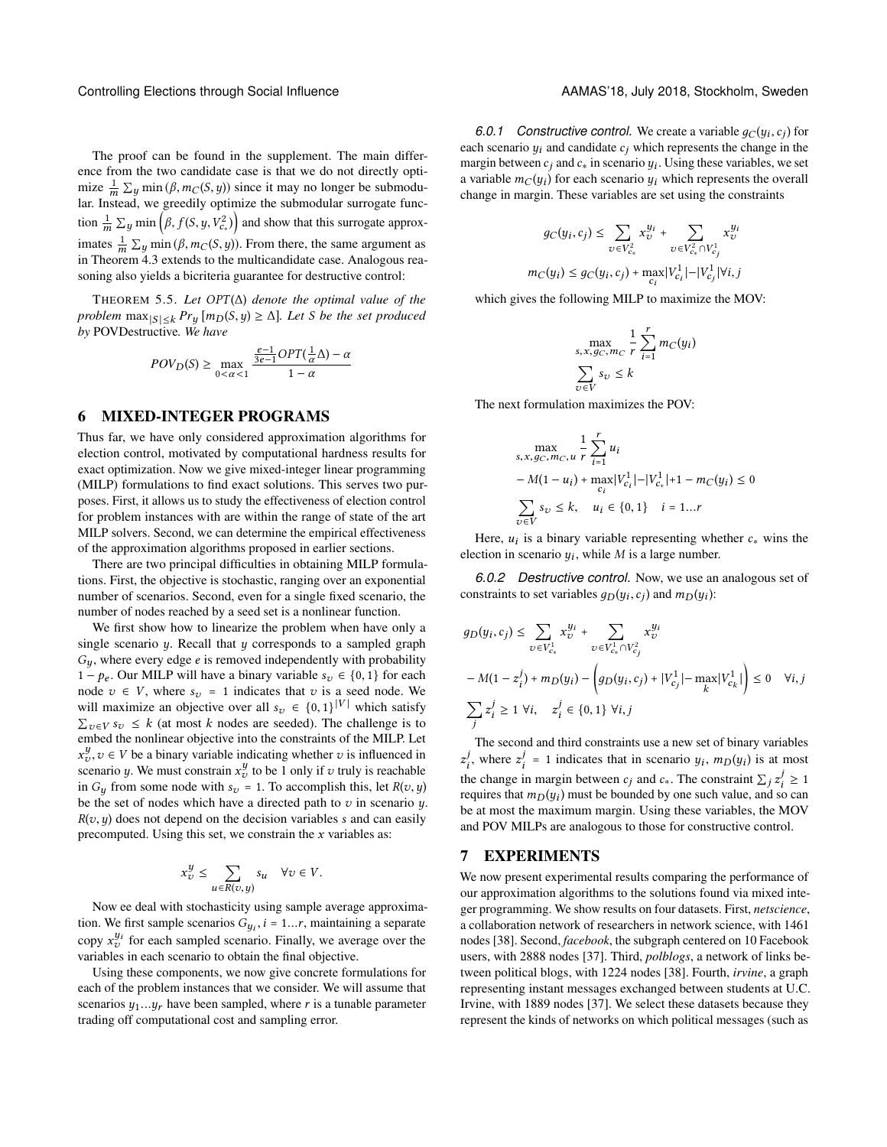The proof can be found in the supplement. The main difference from the two candidate case is that we do not directly optimize  $\frac{1}{m} \sum y \min (\beta, m_C(S, y))$  since it may no longer be submodu-<br>lar Instead, we greedly optimize the submodular surrogate funclar. Instead, we greedily optimize the submodular surrogate function  $\frac{1}{m} \sum y \min \left( \beta, f(S, y, V_{c*}^2) \right)$  and show that this surrogate approximates  $\frac{1}{m} \sum y \min(\beta, m_C(S, y))$ . From there, the same argument as in Theorem [4.3](#page-4-0) extends to the multicandidate case. Analogous reasoning also yields a bicriteria guarantee for destructive control:

<sup>T</sup>HEOREM 5.5. *Let* OPT (∆) *denote the optimal value of the problem*  $\max_{|S| \leq k} Pr_y[m_D(S, y) \geq \Delta]$ *. Let S be the set produced by* POVDestructive*. We have*

$$
POV_D(S) \ge \max_{0 < \alpha < 1} \frac{\frac{e-1}{3e-1}OPT(\frac{1}{\alpha}\Delta) - \alpha}{1 - \alpha}
$$

### 6 MIXED-INTEGER PROGRAMS

Thus far, we have only considered approximation algorithms for election control, motivated by computational hardness results for exact optimization. Now we give mixed-integer linear programming (MILP) formulations to find exact solutions. This serves two purposes. First, it allows us to study the effectiveness of election control for problem instances with are within the range of state of the art MILP solvers. Second, we can determine the empirical effectiveness of the approximation algorithms proposed in earlier sections.

There are two principal difficulties in obtaining MILP formulations. First, the objective is stochastic, ranging over an exponential number of scenarios. Second, even for a single fixed scenario, the number of nodes reached by a seed set is a nonlinear function.

We first show how to linearize the problem when have only a single scenario  $y$ . Recall that  $y$  corresponds to a sampled graph  $G_y$ , where every edge e is removed independently with probability 1 –  $p_e$ . Our MILP will have a binary variable  $s_v \in \{0, 1\}$  for each node  $v \in V$ , where  $s_v = 1$  indicates that v is a seed node. We will maximize an objective over all  $s_v \in \{0,1\}^{|V|}$  which satisfy  $\Sigma$  w. s.  $\leq k$  (at most k nodes are seeded). The challenge is to  $\sum_{v \in V} s_v \leq k$  (at most k nodes are seeded). The challenge is to embed the poplinear objective into the constraints of the MII P I et embed the nonlinear objective into the constraints of the MILP. Let scenario y. We must constrain  $x_y^y$  to be 1 only if v truly is reachable<br>scenario y. We must constrain  $x_y^y$  to be 1 only if v truly is reachable<br>in G, from some node with  $s_y = 1$ . To accommlish this, let  $P(x, y)$ y,  $v \in V$  be a binary variable indicating whether v is influenced in connection with the matter of the l only if a truly is reachable in  $G_y$  from some node with  $s_v = 1$ . To accomplish this, let  $R(v, y)$ be the set of nodes which have a directed path to  $v$  in scenario  $y$ .  $R(v, y)$  does not depend on the decision variables s and can easily precomputed. Using this set, we constrain the  $x$  variables as:

$$
x_v^y \le \sum_{u \in R(v,y)} s_u \quad \forall v \in V.
$$

Now ee deal with stochasticity using sample average approximation. We first sample scenarios  $G_{y_i}$ ,  $i = 1...r$ , maintaining a separate<br>convert<sup>y</sup> for each sampled separate. Finally, we system as your the copy  $x_v^{y_i}$  for each sampled scenario. Finally, we average over the variables in each scenario to obtain the final objective variables in each scenario to obtain the final objective.

Using these components, we now give concrete formulations for each of the problem instances that we consider. We will assume that scenarios  $y_1...y_r$  have been sampled, where r is a tunable parameter trading off computational cost and sampling error.

6.0.1 Constructive control. We create a variable  $g_C(y_i, c_j)$  for the control. We create a variable  $g_C(y_i, c_j)$  for  $, c_j$ <br> $\frac{1}{2}$ each scenario  $y_i$  and candidate  $c_j$  which represents the change in the margin between  $c_j$  and  $c_j$  in scenario  $y_j$ . Using these variables, we set margin between  $c_j$  and  $c_*$  in scenario  $y_i$ . Using these variables, we set<br>a variable  $m_o(y_i)$  for each scenario  $y_i$ , which represents the overall a variable  $m_C(y_i)$  for each scenario  $y_i$  which represents the overall change in margin. These variables are set using the constraints change in margin. These variables are set using the constraints

$$
g_C(y_i, c_j) \le \sum_{v \in V_{c*}^2} x_v^{y_i} + \sum_{v \in V_{c*}^2 \cap V_{c_j}^1} x_v^{y_i}
$$

$$
m_C(y_i) \le g_C(y_i, c_j) + \max_{c_i} |V_{c_i}^1| - |V_{c_j}^1| \forall i, j
$$

which gives the following MILP to maximize the MOV:

$$
\max_{s, x, g_C, m_C} \frac{1}{r} \sum_{i=1}^r m_C(y_i)
$$

$$
\sum_{v \in V} s_v \le k
$$

The next formulation maximizes the POV:

$$
\max_{s, x, g_C, m_C, u} \frac{1}{r} \sum_{i=1}^r u_i
$$
  
- M(1 - u<sub>i</sub>) + max<sub>C<sub>i</sub></sub> |V<sub>C<sub>i</sub></sub><sup>1</sup>|-|V<sub>C<sub>\*</sub></sub><sup>1</sup>|+1 - m<sub>C</sub>(y<sub>i</sub>)  $\leq 0$   

$$
\sum_{v \in V} s_v \leq k, \quad u_i \in \{0, 1\} \quad i = 1...r
$$

Here,  $u_i$  is a binary variable representing whether  $c_*$  wins the ction in scenario  $u_i$ , while M is a large number. election in scenario  $y_i$ , while *M* is a large number.

*6.0.2 Destructive control.* Now, we use an analogous set of constraints to set variables  $g_D(y_i, c_j)$  and  $m_D(y_i)$ :

$$
g_D(y_i, c_j) \le \sum_{v \in V_{c_*}^1} x_v^{y_i} + \sum_{v \in V_{c_*}^1 \cap V_{c_j}^2} x_v^{y_i}
$$
  
-  $M(1 - z_i^j) + m_D(y_i) - \left( g_D(y_i, c_j) + |V_{c_j}^1| - \max_k |V_{c_k}^1| \right) \le 0 \quad \forall i, j$   

$$
\sum_j z_i^j \ge 1 \ \forall i, \quad z_i^j \in \{0, 1\} \ \forall i, j
$$

The second and third constraints use a new set of binary variables the change in margin between  $c_j$  and  $c_{\ast}$ . The constraint  $\sum_j z_i^j \ge 1$ <br>requires that  $m_D(u_i)$  must be bounded by one such value, and so can j, where  $z_i^j = 1$  indicates that in scenario  $y_i$ ,  $m_D(y_i)$  is at most j z requires that  $m_D(y_i)$  must be bounded by one such value, and so can<br>be at most the maximum margin. Using these variables, the MOV be at most the maximum margin. Using these variables, the MOV and POV MILPs are analogous to those for constructive control.

#### 7 EXPERIMENTS

We now present experimental results comparing the performance of our approximation algorithms to the solutions found via mixed integer programming. We show results on four datasets. First, *netscience*, a collaboration network of researchers in network science, with 1461 nodes [\[38\]](#page-8-44). Second, *facebook*, the subgraph centered on 10 Facebook users, with 2888 nodes [\[37\]](#page-8-45). Third, *polblogs*, a network of links between political blogs, with 1224 nodes [\[38\]](#page-8-44). Fourth, *irvine*, a graph representing instant messages exchanged between students at U.C. Irvine, with 1889 nodes [\[37\]](#page-8-45). We select these datasets because they represent the kinds of networks on which political messages (such as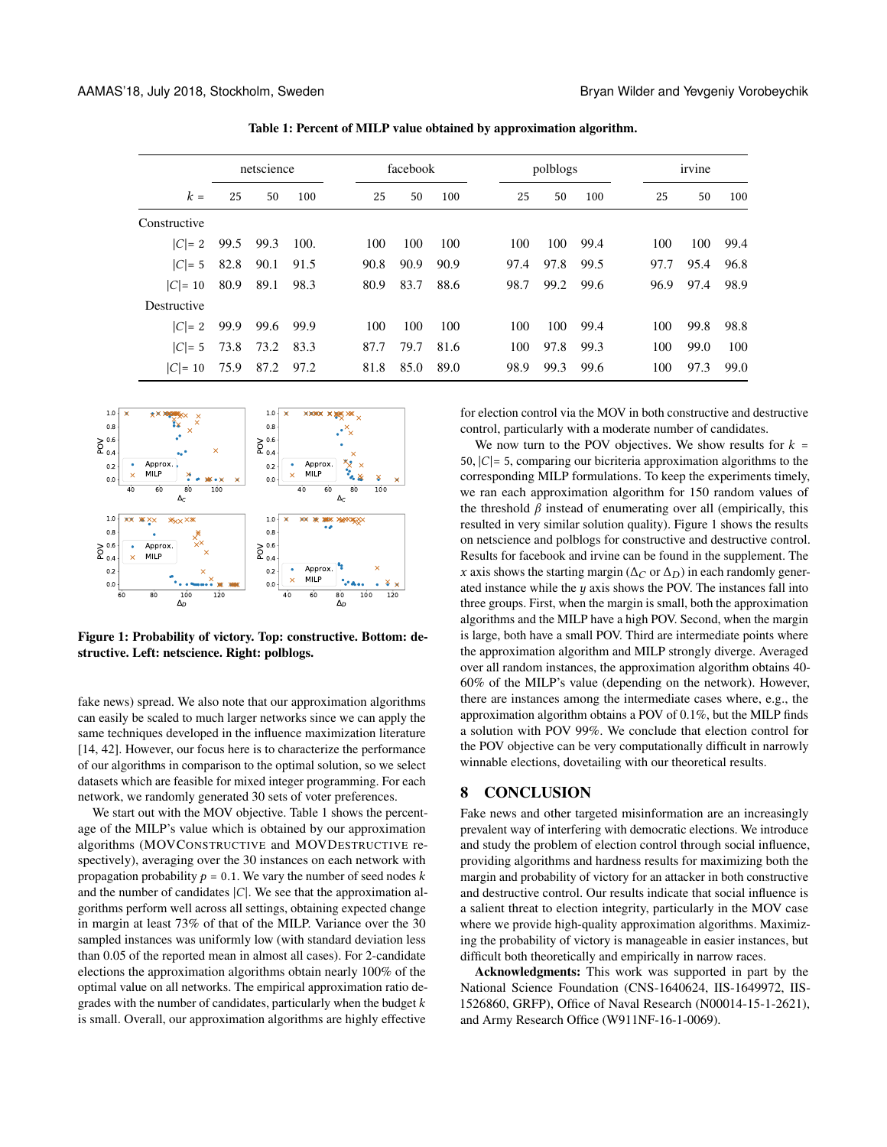<span id="page-7-0"></span>

|              | netscience |      | facebook |      | polblogs |      |      | irvine |      |      |      |      |
|--------------|------------|------|----------|------|----------|------|------|--------|------|------|------|------|
| $k =$        | 25         | 50   | 100      | 25   | 50       | 100  | 25   | 50     | 100  | 25   | 50   | 100  |
| Constructive |            |      |          |      |          |      |      |        |      |      |      |      |
| $ C =2$      | 99.5       | 99.3 | 100.     | 100  | 100      | 100  | 100  | 100    | 99.4 | 100  | 100  | 99.4 |
| $ C =5$      | 82.8       | 90.1 | 91.5     | 90.8 | 90.9     | 90.9 | 97.4 | 97.8   | 99.5 | 97.7 | 95.4 | 96.8 |
| $ C =10$     | 80.9       | 89.1 | 98.3     | 80.9 | 83.7     | 88.6 | 98.7 | 99.2   | 99.6 | 96.9 | 97.4 | 98.9 |
| Destructive  |            |      |          |      |          |      |      |        |      |      |      |      |
| $ C =2$      | 99.9       | 99.6 | 99.9     | 100  | 100      | 100  | 100  | 100    | 99.4 | 100  | 99.8 | 98.8 |
| $ C =5$      | 73.8       | 73.2 | 83.3     | 87.7 | 79.7     | 81.6 | 100  | 97.8   | 99.3 | 100  | 99.0 | 100  |
| $ C =10$     | 75.9       | 87.2 | 97.2     | 81.8 | 85.0     | 89.0 | 98.9 | 99.3   | 99.6 | 100  | 97.3 | 99.0 |

Table 1: Percent of MILP value obtained by approximation algorithm.

<span id="page-7-1"></span>

Figure 1: Probability of victory. Top: constructive. Bottom: destructive. Left: netscience. Right: polblogs.

fake news) spread. We also note that our approximation algorithms can easily be scaled to much larger networks since we can apply the same techniques developed in the influence maximization literature [\[14,](#page-8-31) [42\]](#page-8-33). However, our focus here is to characterize the performance of our algorithms in comparison to the optimal solution, so we select datasets which are feasible for mixed integer programming. For each network, we randomly generated 30 sets of voter preferences.

We start out with the MOV objective. Table [1](#page-7-0) shows the percentage of the MILP's value which is obtained by our approximation algorithms (MOVCONSTRUCTIVE and MOVDESTRUCTIVE respectively), averaging over the 30 instances on each network with propagation probability  $p = 0.1$ . We vary the number of seed nodes k and the number of candidates  $|C|$ . We see that the approximation algorithms perform well across all settings, obtaining expected change in margin at least 73% of that of the MILP. Variance over the 30 sampled instances was uniformly low (with standard deviation less than 0.05 of the reported mean in almost all cases). For 2-candidate elections the approximation algorithms obtain nearly 100% of the optimal value on all networks. The empirical approximation ratio degrades with the number of candidates, particularly when the budget  $k$ is small. Overall, our approximation algorithms are highly effective

for election control via the MOV in both constructive and destructive control, particularly with a moderate number of candidates.

We now turn to the POV objectives. We show results for  $k =$ 50,  $|C|=$  5, comparing our bicriteria approximation algorithms to the corresponding MILP formulations. To keep the experiments timely, we ran each approximation algorithm for 150 random values of the threshold  $\beta$  instead of enumerating over all (empirically, this resulted in very similar solution quality). Figure [1](#page-7-1) shows the results on netscience and polblogs for constructive and destructive control. Results for facebook and irvine can be found in the supplement. The x axis shows the starting margin ( $\Delta_C$  or  $\Delta_D$ ) in each randomly generated instance while the  $y$  axis shows the POV. The instances fall into three groups. First, when the margin is small, both the approximation algorithms and the MILP have a high POV. Second, when the margin is large, both have a small POV. Third are intermediate points where the approximation algorithm and MILP strongly diverge. Averaged over all random instances, the approximation algorithm obtains 40- 60% of the MILP's value (depending on the network). However, there are instances among the intermediate cases where, e.g., the approximation algorithm obtains a POV of 0.1%, but the MILP finds a solution with POV 99%. We conclude that election control for the POV objective can be very computationally difficult in narrowly winnable elections, dovetailing with our theoretical results.

## 8 CONCLUSION

Fake news and other targeted misinformation are an increasingly prevalent way of interfering with democratic elections. We introduce and study the problem of election control through social influence, providing algorithms and hardness results for maximizing both the margin and probability of victory for an attacker in both constructive and destructive control. Our results indicate that social influence is a salient threat to election integrity, particularly in the MOV case where we provide high-quality approximation algorithms. Maximizing the probability of victory is manageable in easier instances, but difficult both theoretically and empirically in narrow races.

Acknowledgments: This work was supported in part by the National Science Foundation (CNS-1640624, IIS-1649972, IIS-1526860, GRFP), Office of Naval Research (N00014-15-1-2621), and Army Research Office (W911NF-16-1-0069).